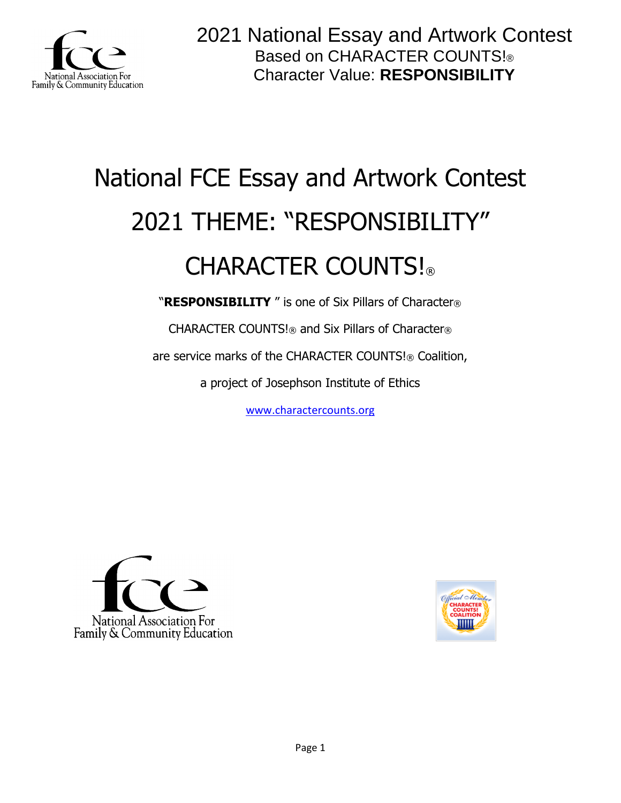

# National FCE Essay and Artwork Contest 2021 THEME: "RESPONSIBILITY" CHARACTER COUNTS!

"**RESPONSIBILITY** " is one of Six Pillars of Character®

CHARACTER COUNTS!® and Six Pillars of Character®

are service marks of the CHARACTER COUNTS!® Coalition,

a project of Josephson Institute of Ethics

[www.charactercounts.org](http://www.charactercounts.org/)



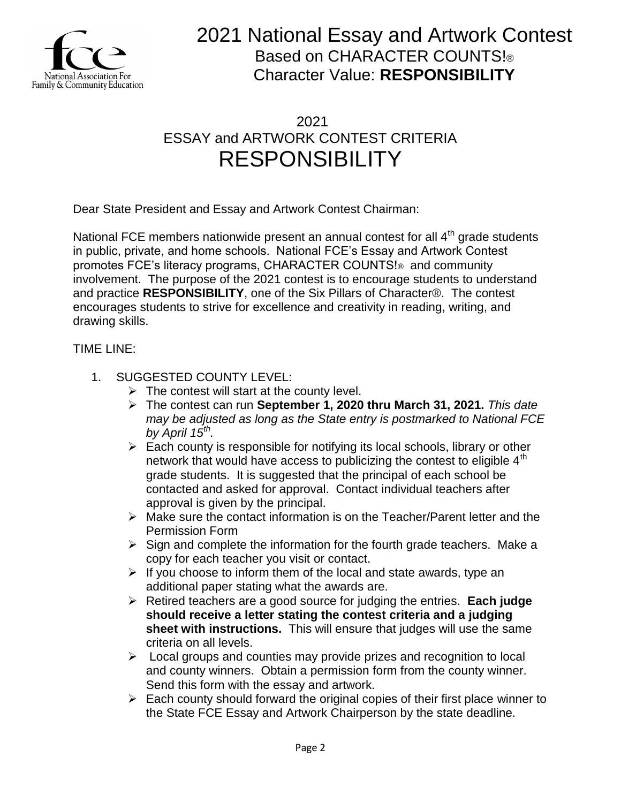

### 2021 ESSAY and ARTWORK CONTEST CRITERIA RESPONSIBILITY

Dear State President and Essay and Artwork Contest Chairman:

National FCE members nationwide present an annual contest for all  $4<sup>th</sup>$  grade students in public, private, and home schools. National FCE's Essay and Artwork Contest promotes FCE's literacy programs, CHARACTER COUNTS!® and community involvement. The purpose of the 2021 contest is to encourage students to understand and practice **RESPONSIBILITY**, one of the Six Pillars of Character®. The contest encourages students to strive for excellence and creativity in reading, writing, and drawing skills.

### TIME LINE:

- 1. SUGGESTED COUNTY LEVEL:
	- $\triangleright$  The contest will start at the county level.
	- The contest can run **September 1, 2020 thru March 31, 2021.** *This date may be adjusted as long as the State entry is postmarked to National FCE by April 15th .*
	- $\triangleright$  Each county is responsible for notifying its local schools, library or other network that would have access to publicizing the contest to eligible  $4<sup>th</sup>$ grade students. It is suggested that the principal of each school be contacted and asked for approval. Contact individual teachers after approval is given by the principal.
	- Make sure the contact information is on the Teacher/Parent letter and the Permission Form
	- $\triangleright$  Sign and complete the information for the fourth grade teachers. Make a copy for each teacher you visit or contact.
	- $\triangleright$  If you choose to inform them of the local and state awards, type an additional paper stating what the awards are.
	- Retired teachers are a good source for judging the entries. **Each judge should receive a letter stating the contest criteria and a judging sheet with instructions.** This will ensure that judges will use the same criteria on all levels.
	- $\triangleright$  Local groups and counties may provide prizes and recognition to local and county winners. Obtain a permission form from the county winner. Send this form with the essay and artwork.
	- $\triangleright$  Each county should forward the original copies of their first place winner to the State FCE Essay and Artwork Chairperson by the state deadline.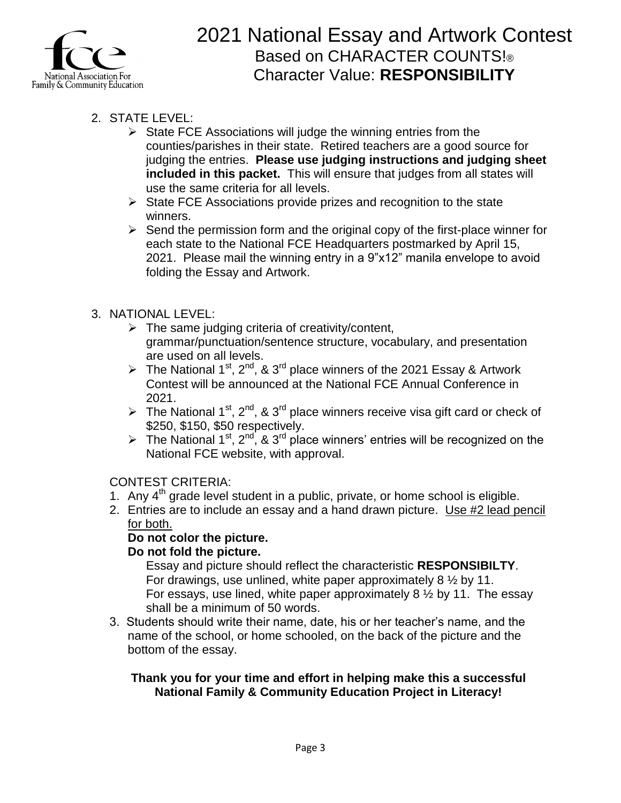

- 2. STATE LEVEL:
	- $\triangleright$  State FCE Associations will judge the winning entries from the counties/parishes in their state. Retired teachers are a good source for judging the entries. **Please use judging instructions and judging sheet included in this packet.** This will ensure that judges from all states will use the same criteria for all levels.
	- $\triangleright$  State FCE Associations provide prizes and recognition to the state winners.
	- $\triangleright$  Send the permission form and the original copy of the first-place winner for each state to the National FCE Headquarters postmarked by April 15, 2021. Please mail the winning entry in a 9"x12" manila envelope to avoid folding the Essay and Artwork.

### 3. NATIONAL LEVEL:

- $\triangleright$  The same judging criteria of creativity/content, grammar/punctuation/sentence structure, vocabulary, and presentation are used on all levels.
- The National 1<sup>st</sup>, 2<sup>nd</sup>, & 3<sup>rd</sup> place winners of the 2021 Essay & Artwork Contest will be announced at the National FCE Annual Conference in 2021.
- The National 1<sup>st</sup>, 2<sup>nd</sup>, & 3<sup>rd</sup> place winners receive visa gift card or check of \$250, \$150, \$50 respectively.
- The National 1<sup>st</sup>, 2<sup>nd</sup>, & 3<sup>rd</sup> place winners' entries will be recognized on the National FCE website, with approval.

### CONTEST CRITERIA:

- 1. Any  $4<sup>th</sup>$  grade level student in a public, private, or home school is eligible.
- 2. Entries are to include an essay and a hand drawn picture. Use #2 lead pencil for both.

### **Do not color the picture.**

### **Do not fold the picture.**

Essay and picture should reflect the characteristic **RESPONSIBILTY**. For drawings, use unlined, white paper approximately 8 ½ by 11. For essays, use lined, white paper approximately 8 ½ by 11. The essay shall be a minimum of 50 words.

3. Students should write their name, date, his or her teacher's name, and the name of the school, or home schooled, on the back of the picture and the bottom of the essay.

#### **Thank you for your time and effort in helping make this a successful National Family & Community Education Project in Literacy!**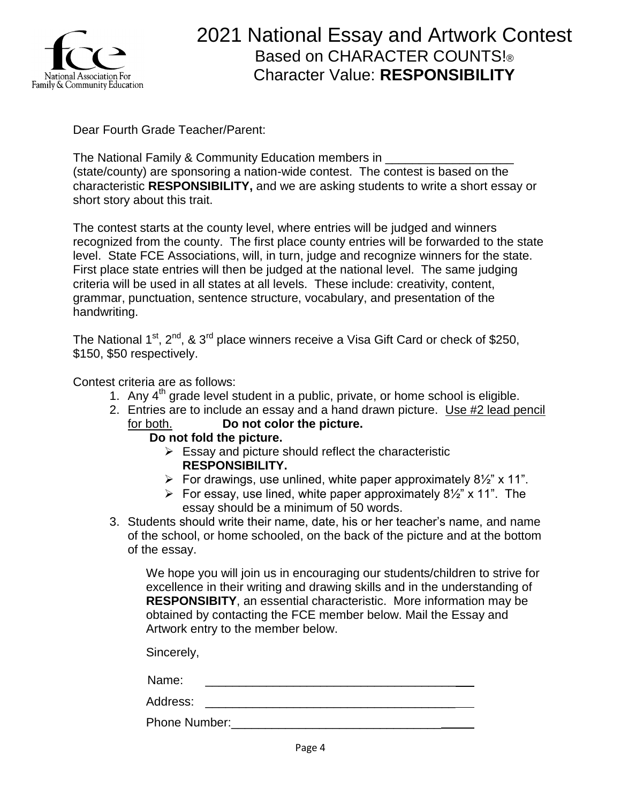

Dear Fourth Grade Teacher/Parent:

The National Family & Community Education members in (state/county) are sponsoring a nation-wide contest. The contest is based on the characteristic **RESPONSIBILITY,** and we are asking students to write a short essay or short story about this trait.

The contest starts at the county level, where entries will be judged and winners recognized from the county. The first place county entries will be forwarded to the state level. State FCE Associations, will, in turn, judge and recognize winners for the state. First place state entries will then be judged at the national level. The same judging criteria will be used in all states at all levels. These include: creativity, content, grammar, punctuation, sentence structure, vocabulary, and presentation of the handwriting.

The National  $1<sup>st</sup>$ ,  $2<sup>nd</sup>$ , &  $3<sup>rd</sup>$  place winners receive a Visa Gift Card or check of \$250, \$150, \$50 respectively.

Contest criteria are as follows:

- 1. Any  $4<sup>th</sup>$  grade level student in a public, private, or home school is eligible.
- 2. Entries are to include an essay and a hand drawn picture. Use #2 lead pencil for both. **Do not color the picture.**
	- **Do not fold the picture.**
		- $\triangleright$  Essay and picture should reflect the characteristic **RESPONSIBILITY.**
		- For drawings, use unlined, white paper approximately  $8\frac{1}{2}$  x 11".
		- For essay, use lined, white paper approximately  $8\frac{1}{2}$ " x 11". The essay should be a minimum of 50 words.
- 3. Students should write their name, date, his or her teacher's name, and name of the school, or home schooled, on the back of the picture and at the bottom of the essay.

We hope you will join us in encouraging our students/children to strive for excellence in their writing and drawing skills and in the understanding of **RESPONSIBITY**, an essential characteristic. More information may be obtained by contacting the FCE member below. Mail the Essay and Artwork entry to the member below.

Sincerely,

Name: \_\_\_\_\_\_\_\_\_\_\_\_\_\_\_\_\_\_\_\_\_\_\_\_\_\_\_\_\_\_\_\_\_\_\_\_\_

Address: \_\_\_\_\_\_\_\_\_\_\_\_\_\_\_\_\_\_\_\_\_\_\_\_\_\_\_\_\_\_\_\_\_\_\_\_\_

Phone Number:\_\_\_\_\_\_\_\_\_\_\_\_\_\_\_\_\_\_\_\_\_\_\_\_\_\_\_\_\_\_\_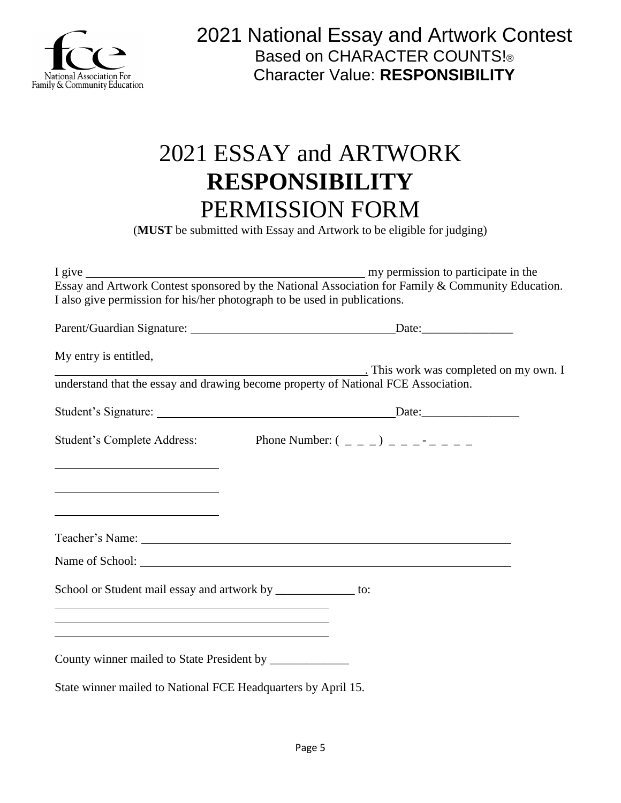

# 2021 ESSAY and ARTWORK **RESPONSIBILITY** PERMISSION FORM

(**MUST** be submitted with Essay and Artwork to be eligible for judging)

|                                                                                                                                                                                | Essay and Artwork Contest sponsored by the National Association for Family & Community Education. |
|--------------------------------------------------------------------------------------------------------------------------------------------------------------------------------|---------------------------------------------------------------------------------------------------|
| I also give permission for his/her photograph to be used in publications.                                                                                                      |                                                                                                   |
|                                                                                                                                                                                |                                                                                                   |
|                                                                                                                                                                                |                                                                                                   |
| My entry is entitled,                                                                                                                                                          |                                                                                                   |
|                                                                                                                                                                                | This work was completed on my own. I                                                              |
|                                                                                                                                                                                | understand that the essay and drawing become property of National FCE Association.                |
|                                                                                                                                                                                |                                                                                                   |
|                                                                                                                                                                                |                                                                                                   |
|                                                                                                                                                                                | Student's Complete Address: Phone Number: $(2, 2)$                                                |
|                                                                                                                                                                                |                                                                                                   |
|                                                                                                                                                                                |                                                                                                   |
|                                                                                                                                                                                |                                                                                                   |
| <u> 1989 - Johann Barn, fransk politik amerikansk politik (d. 1989)</u>                                                                                                        |                                                                                                   |
|                                                                                                                                                                                |                                                                                                   |
|                                                                                                                                                                                |                                                                                                   |
|                                                                                                                                                                                |                                                                                                   |
|                                                                                                                                                                                |                                                                                                   |
| School or Student mail essay and artwork by ______________ to:                                                                                                                 |                                                                                                   |
| <u> 1989 - Johann Stoff, Amerikaansk politiker († 1908)</u>                                                                                                                    |                                                                                                   |
| <u> 1989 - Johann Stoff, amerikansk politiker (* 1908)</u><br>and the control of the control of the control of the control of the control of the control of the control of the |                                                                                                   |
|                                                                                                                                                                                |                                                                                                   |
| County winner mailed to State President by _______________                                                                                                                     |                                                                                                   |
|                                                                                                                                                                                |                                                                                                   |
| State winner mailed to National FCE Headquarters by April 15.                                                                                                                  |                                                                                                   |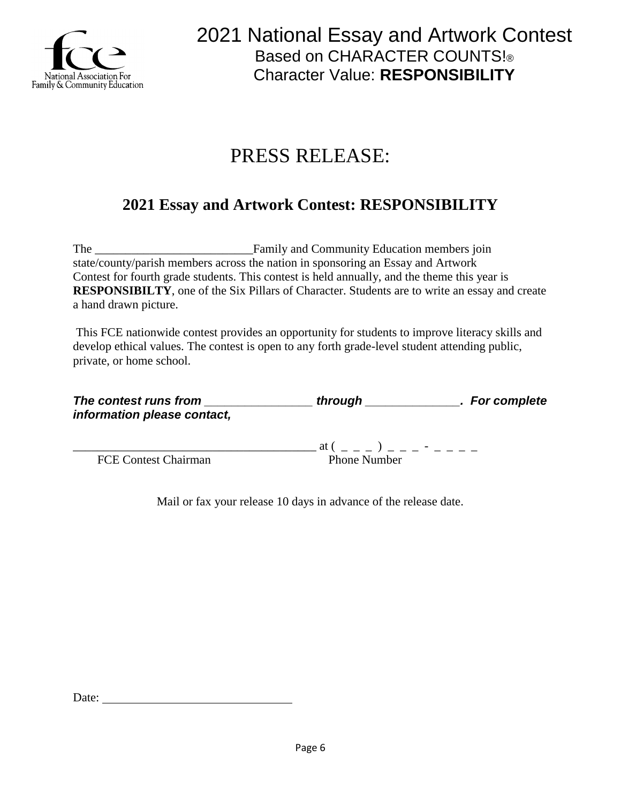

# PRESS RELEASE:

### **2021 Essay and Artwork Contest: RESPONSIBILITY**

The \_\_\_\_\_\_\_\_\_\_\_\_\_\_\_\_\_\_\_\_\_\_\_\_\_\_Family and Community Education members join state/county/parish members across the nation in sponsoring an Essay and Artwork Contest for fourth grade students. This contest is held annually, and the theme this year is **RESPONSIBILTY**, one of the Six Pillars of Character. Students are to write an essay and create a hand drawn picture.

This FCE nationwide contest provides an opportunity for students to improve literacy skills and develop ethical values. The contest is open to any forth grade-level student attending public, private, or home school.

| The contest runs from       | through             | . For complete |
|-----------------------------|---------------------|----------------|
| information please contact, |                     |                |
|                             | at (                |                |
| <b>FCE Contest Chairman</b> | <b>Phone Number</b> |                |

Mail or fax your release 10 days in advance of the release date.

Date: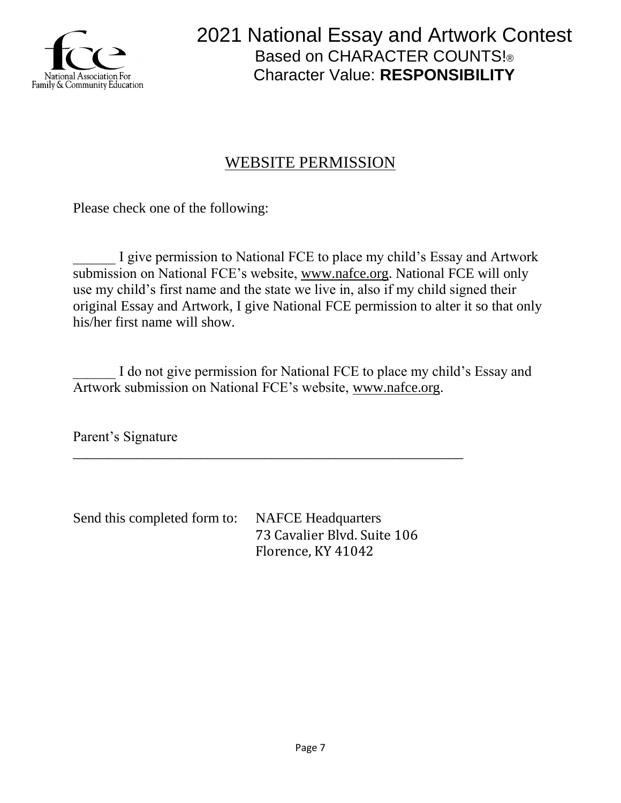

### WEBSITE PERMISSION

Please check one of the following:

I give permission to National FCE to place my child's Essay and Artwork submission on National FCE's website, [www.nafce.org.](http://www.nafce.org/) National FCE will only use my child's first name and the state we live in, also if my child signed their original Essay and Artwork, I give National FCE permission to alter it so that only his/her first name will show.

I do not give permission for National FCE to place my child's Essay and Artwork submission on National FCE's website, [www.nafce.org.](http://www.nafce.org/)

Parent's Signature

Send this completed form to: NAFCE Headquarters 73 Cavalier Blvd. Suite 106 Florence, KY 41042

\_\_\_\_\_\_\_\_\_\_\_\_\_\_\_\_\_\_\_\_\_\_\_\_\_\_\_\_\_\_\_\_\_\_\_\_\_\_\_\_\_\_\_\_\_\_\_\_\_\_\_\_\_\_\_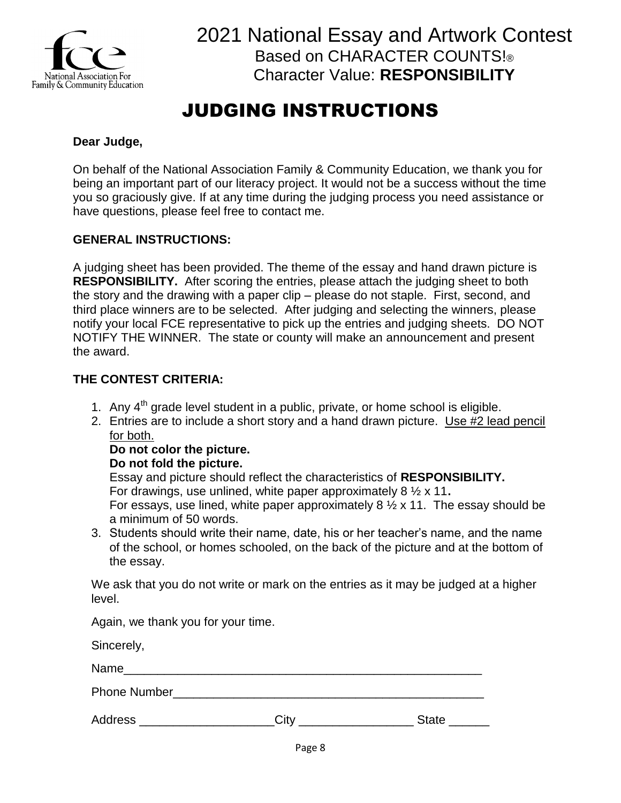

# JUDGING INSTRUCTIONS

### **Dear Judge,**

On behalf of the National Association Family & Community Education, we thank you for being an important part of our literacy project. It would not be a success without the time you so graciously give. If at any time during the judging process you need assistance or have questions, please feel free to contact me.

#### **GENERAL INSTRUCTIONS:**

A judging sheet has been provided. The theme of the essay and hand drawn picture is **RESPONSIBILITY.** After scoring the entries, please attach the judging sheet to both the story and the drawing with a paper clip – please do not staple. First, second, and third place winners are to be selected. After judging and selecting the winners, please notify your local FCE representative to pick up the entries and judging sheets. DO NOT NOTIFY THE WINNER. The state or county will make an announcement and present the award.

### **THE CONTEST CRITERIA:**

- 1. Any  $4<sup>th</sup>$  grade level student in a public, private, or home school is eligible.
- 2. Entries are to include a short story and a hand drawn picture. Use #2 lead pencil for both.

#### **Do not color the picture.**

#### **Do not fold the picture.**

Essay and picture should reflect the characteristics of **RESPONSIBILITY.** For drawings, use unlined, white paper approximately 8 ½ x 11**.** For essays, use lined, white paper approximately  $8\frac{1}{2} \times 11$ . The essay should be a minimum of 50 words.

3. Students should write their name, date, his or her teacher's name, and the name of the school, or homes schooled, on the back of the picture and at the bottom of the essay.

We ask that you do not write or mark on the entries as it may be judged at a higher level.

Again, we thank you for your time.

Sincerely,

Name

Phone Number

Address **Example 20** City **Contract Contract Contract Contract Contract Contract Contract Contract Contract Contract Contract Contract Contract Contract Contract Contract Contract Contract Contract Contract Contract Contra**